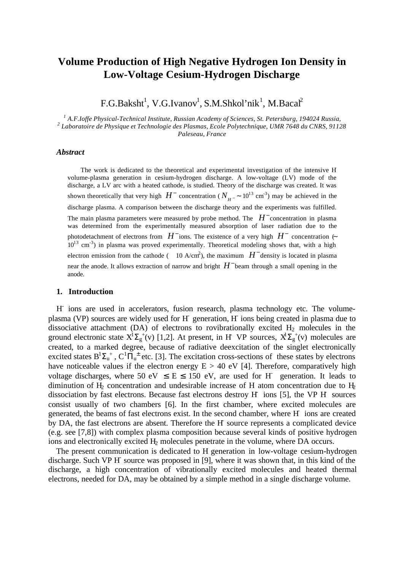# **Volume Production of High Negative Hydrogen Ion Density in Low-Voltage Cesium-Hydrogen Discharge**

F.G.Baksht<sup>1</sup>, V.G.Ivanov<sup>1</sup>, S.M.Shkol'nik<sup>1</sup>, M.Bacal<sup>2</sup>

*1 A.F.Ioffe Physical-Technical Institute, Russian Academy of Sciences, St. Petersburg, 194024 Russia, 2 Laboratoire de Physique et Technologie des Plasmas, Ecole Polytechnique, UMR 7648 du CNRS, 91128 Paleseau, France*

# *Abstract*

 The work is dedicated to the theoretical and experimental investigation of the intensive Hvolume-plasma generation in cesium-hydrogen discharge. A low-voltage (LV) mode of the discharge, a LV arc with a heated cathode, is studied. Theory of the discharge was created. It was shown theoretically that very high  $H^-$  concentration ( $N_{H^-}$  ~ 10<sup>13</sup> cm<sup>-3</sup>) may be achieved in the discharge plasma. A comparison between the discharge theory and the experiments was fulfilled. The main plasma parameters were measured by probe method. The  $H^-$  concentration in plasma was determined from the experimentally measured absorption of laser radiation due to the photodetachment of electrons from  $H^-$  ions. The existence of a very high  $H^-$  concentration  $\leftarrow$  $10^{13}$  cm<sup>-3</sup>) in plasma was proved experimentally. Theoretical modeling shows that, with a high electron emission from the cathode (  $10$  A/cm<sup>2</sup>), the maximum  $H^-$  density is located in plasma near the anode. It allows extraction of narrow and bright  $H^-$  beam through a small opening in the anode.

## **1. Introduction**

H ions are used in accelerators, fusion research, plasma technology etc. The volumeplasma (VP) sources are widely used for H generation, H ions being created in plasma due to dissociative attachment (DA) of electrons to rovibrationally excited  $H_2$  molecules in the ground electronic state  $X^1\Sigma_g^{\{+}}(v)$  [1,2]. At present, in H-VP sources,  $X^1\Sigma_g^{\{+}}(v)$  molecules are created, to a marked degree, because of radiative deexcitation of the singlet electronically excited states  $B^1\Sigma_u^+$ ,  $C^1\Pi_u^{\pm}$  etc. [3]. The excitation cross-sections of these states by electrons have noticeable values if the electron energy  $E > 40$  eV [4]. Therefore, comparatively high voltage discharges, where 50 eV  $\leq$  E  $\leq$  150 eV, are used for H generation. It leads to diminution of  $H<sub>2</sub>$  concentration and undesirable increase of H atom concentration due to  $H<sub>2</sub>$ dissociation by fast electrons. Because fast electrons destroy H- ions [5], the VP H- sources consist usually of two chambers [6]. In the first chamber, where excited molecules are generated, the beams of fast electrons exist. In the second chamber, where H- ions are created by DA, the fast electrons are absent. Therefore the H source represents a complicated device (e.g. see [7,8]) with complex plasma composition because several kinds of positive hydrogen ions and electronically excited H<sub>2</sub> molecules penetrate in the volume, where DA occurs.

The present communication is dedicated to H generation in low-voltage cesium-hydrogen discharge. Such VP H source was proposed in [9], where it was shown that, in this kind of the discharge, a high concentration of vibrationally excited molecules and heated thermal electrons, needed for DA, may be obtained by a simple method in a single discharge volume.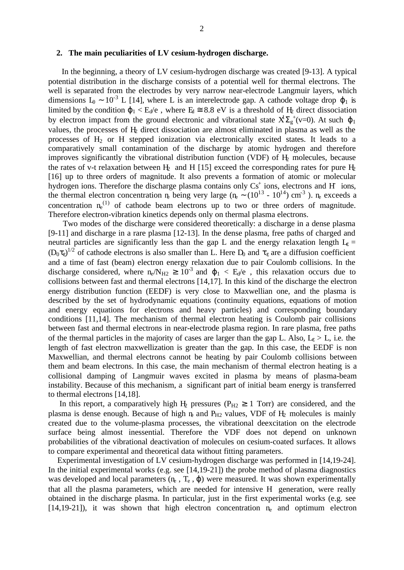#### **2. The main peculiarities of LV cesium-hydrogen discharge.**

 In the beginning, a theory of LV cesium-hydrogen discharge was created [9-13]. A typical potential distribution in the discharge consists of a potential well for thermal electrons. The well is separated from the electrodes by very narrow near-electrode Langmuir layers, which dimensions  $L_0 \sim 10^{-3}$  L [14], where L is an interelectrode gap. A cathode voltage drop  $\varphi_1$  is limited by the condition  $\varphi_1 < E_d/e$ , where  $E_d \cong 8.8$  eV is a threshold of  $H_2$  direct dissociation by electron impact from the ground electronic and vibrational state  $X^{\dagger} \Sigma_{g}^{+}(v=0)$ . At such  $\varphi_1$ values, the processes of H2 direct dissociation are almost eliminated in plasma as well as the processes of  $H<sub>2</sub>$  or H stepped ionization via electronically excited states. It leads to a comparatively small contamination of the discharge by atomic hydrogen and therefore improves significantly the vibrational distribution function (VDF) of  $H<sub>2</sub>$  molecules, because the rates of v-t relaxation between  $H_2$  and H [15] exceed the corresponding rates for pure  $H_2$ [16] up to three orders of magnitude. It also prevents a formation of atomic or molecular hydrogen ions. Therefore the discharge plasma contains only  $Cs<sup>+</sup>$  ions, electrons and H ions, the thermal electron concentration ne being very large (ne ∼ (10<sup>13</sup> - 10<sup>14</sup>) cm<sup>-3</sup>). ne exceeds a concentration  $n_e^{(1)}$  of cathode beam electrons up to two or three orders of magnitude. Therefore electron-vibration kinetics depends only on thermal plasma electrons.

 Two modes of the discharge were considered theoretically: a discharge in a dense plasma [9-11] and discharge in a rare plasma [12-13]. In the dense plasma, free paths of charged and neutral particles are significantly less than the gap L and the energy relaxation length  $L_{\epsilon}$  =  $(D_0\tau_{\epsilon})^{1/2}$  of cathode electrons is also smaller than L. Here  $D_0$  and  $\tau_{\epsilon}$  are a diffusion coefficient and a time of fast (beam) electron energy relaxation due to pair Coulomb collisions. In the discharge considered, where  $n_e/N_{H2} \ge 10^{-3}$  and  $\varphi_1 < E_d/e$ , this relaxation occurs due to collisions between fast and thermal electrons [14,17]. In this kind of the discharge the electron energy distribution function (EEDF) is very close to Maxwellian one, and the plasma is described by the set of hydrodynamic equations (continuity equations, equations of motion and energy equations for electrons and heavy particles) and corresponding boundary conditions [11,14]. The mechanism of thermal electron heating is Coulomb pair collisions between fast and thermal electrons in near-electrode plasma region. In rare plasma, free paths of the thermal particles in the majority of cases are larger than the gap L. Also,  $L_{\epsilon} > L$ , i.e. the length of fast electron maxwellization is greater than the gap. In this case, the EEDF is non Maxwellian, and thermal electrons cannot be heating by pair Coulomb collisions between them and beam electrons. In this case, the main mechanism of thermal electron heating is a collisional damping of Langmuir waves excited in plasma by means of plasma-beam instability. Because of this mechanism, a significant part of initial beam energy is transferred to thermal electrons [14,18].

In this report, a comparatively high H<sub>2</sub> pressures ( $P_{H2} \ge 1$  Torr) are considered, and the plasma is dense enough. Because of high  $n_{\rm e}$  and  $P_{\rm H2}$  values, VDF of  $H_2$  molecules is mainly created due to the volume-plasma processes, the vibrational deexcitation on the electrode surface being almost inessential. Therefore the VDF does not depend on unknown probabilities of the vibrational deactivation of molecules on cesium-coated surfaces. It allows to compare experimental and theoretical data without fitting parameters.

 Experimental investigation of LV cesium-hydrogen discharge was performed in [14,19-24]. In the initial experimental works (e.g. see [14,19-21]) the probe method of plasma diagnostics was developed and local parameters  $(n_e, T_e, \varphi)$  were measured. It was shown experimentally that all the plasma parameters, which are needed for intensive H- generation, were really obtained in the discharge plasma. In particular, just in the first experimental works (e.g. see  $[14,19-21]$ , it was shown that high electron concentration  $n_e$  and optimum electron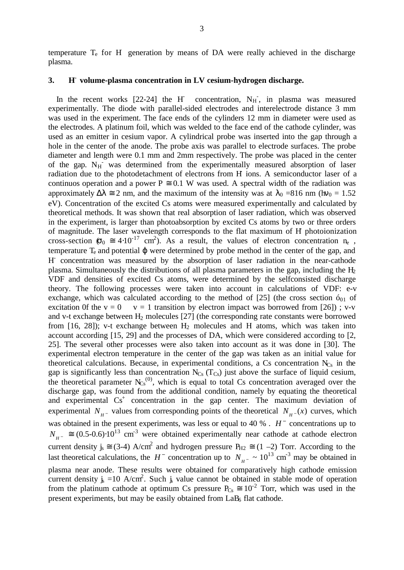temperature  $T_e$  for H- generation by means of DA were really achieved in the discharge plasma.

# **3. H - volume-plasma concentration in LV cesium-hydrogen discharge.**

 In the recent works [22-24] the H concentration,  $N_H$ , in plasma was measured experimentally. The diode with parallel-sided electrodes and interelectrode distance 3 mm was used in the experiment. The face ends of the cylinders 12 mm in diameter were used as the electrodes. A platinum foil, which was welded to the face end of the cathode cylinder, was used as an emitter in cesium vapor. A cylindrical probe was inserted into the gap through a hole in the center of the anode. The probe axis was parallel to electrode surfaces. The probe diameter and length were 0.1 mm and 2mm respectively. The probe was placed in the center of the gap. N<sub>H</sub> was determined from the experimentally measured absorption of laser radiation due to the photodetachment of electrons from H ions. A semiconductor laser of a continuos operation and a power  $P \approx 0.1$  W was used. A spectral width of the radiation was approximately  $\Delta \lambda \approx 2$  nm, and the maximum of the intensity was at  $\lambda_0$  =816 nm (hv<sub>0</sub> = 1.52) eV). Concentration of the excited Cs atoms were measured experimentally and calculated by theoretical methods. It was shown that real absorption of laser radiation, which was observed in the experiment, is larger than photoabsorption by excited Cs atoms by two or three orders of magnitude. The laser wavelength corresponds to the flat maximum of H- photoionization cross-section  $\sigma_0 \approx 4.10^{-17}$  cm<sup>2</sup>). As a result, the values of electron concentration n<sub>e</sub>, temperature  $T_e$  and potential  $\varphi$  were determined by probe method in the center of the gap, and H - concentration was measured by the absorption of laser radiation in the near-cathode plasma. Simultaneously the distributions of all plasma parameters in the gap, including the  $H_2$ VDF and densities of excited Cs atoms, were determined by the selfconsisted discharge theory. The following processes were taken into account in calculations of VDF: e-v exchange, which was calculated according to the method of [25] (the cross section  $\delta_{01}$  of excitation 0f the  $v = 0$   $v = 1$  transition by electron impact was borrowed from [26]); v-v and v-t exchange between  $H_2$  molecules [27] (the corresponding rate constants were borrowed from  $[16, 28]$ ; v-t exchange between  $H_2$  molecules and H atoms, which was taken into account according [15, 29] and the processes of DA, which were considered according to [2, 25]. The several other processes were also taken into account as it was done in [30]. The experimental electron temperature in the center of the gap was taken as an initial value for theoretical calculations. Because, in experimental conditions, a Cs concentration  $N_{Cs}$  in the gap is significantly less than concentration  $N_{Cs}$  (T<sub>Cs</sub>) just above the surface of liquid cesium, the theoretical parameter  $N_{Cs}^{(0)}$ , which is equal to total Cs concentration averaged over the discharge gap, was found from the additional condition, namely by equating the theoretical and experimental Cs<sup>+</sup> concentration in the gap center. The maximum deviation of experimental  $N_{H^-}$  values from corresponding points of the theoretical  $N_{H^-}(x)$  curves, which was obtained in the present experiments, was less or equal to 40 % .  $H^-$  concentrations up to  $N_{H^-} \cong (0.5-0.6) \cdot 10^{13}$  cm<sup>-3</sup> were obtained experimentally near cathode at cathode electron current density  $j_s \equiv (3-4)$  A/cm<sup>2</sup> and hydrogen pressure  $P_{H2} \equiv (1 - 2)$  Torr. According to the last theoretical calculations, the  $H^-$  concentration up to  $N_{H^-} \sim 10^{13}$  cm<sup>-3</sup> may be obtained in plasma near anode. These results were obtained for comparatively high cathode emission current density  $j_s = 10$  A/cm<sup>2</sup>. Such  $j_s$  value cannot be obtained in stable mode of operation from the platinum cathode at optimum Cs pressure  $P_{Cs} \approx 10^{-2}$  Torr, which was used in the present experiments, but may be easily obtained from  $LaB<sub>6</sub>$  flat cathode.